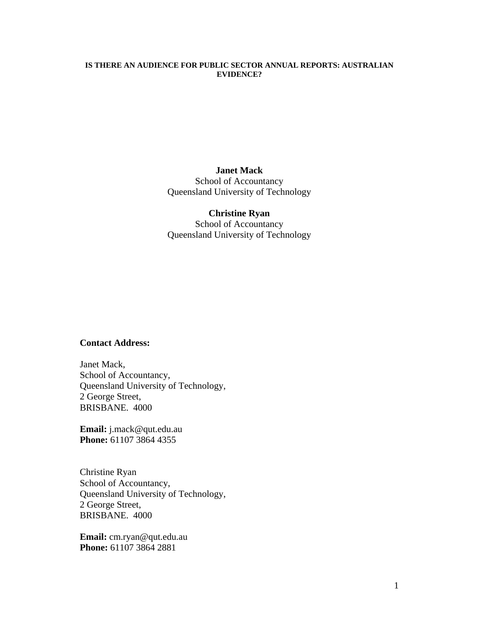### **IS THERE AN AUDIENCE FOR PUBLIC SECTOR ANNUAL REPORTS: AUSTRALIAN EVIDENCE?**

**Janet Mack**  School of Accountancy Queensland University of Technology

**Christine Ryan** 

School of Accountancy Queensland University of Technology

### **Contact Address:**

Janet Mack, School of Accountancy, Queensland University of Technology, 2 George Street, BRISBANE. 4000

**Email:** j.mack@qut.edu.au **Phone:** 61107 3864 4355

Christine Ryan School of Accountancy, Queensland University of Technology, 2 George Street, BRISBANE. 4000

**Email:** cm.ryan@qut.edu.au **Phone:** 61107 3864 2881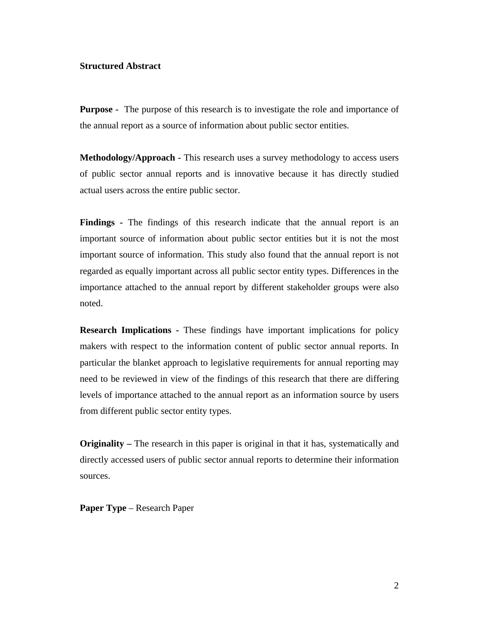### **Structured Abstract**

**Purpose -** The purpose of this research is to investigate the role and importance of the annual report as a source of information about public sector entities.

**Methodology/Approach -** This research uses a survey methodology to access users of public sector annual reports and is innovative because it has directly studied actual users across the entire public sector.

**Findings -** The findings of this research indicate that the annual report is an important source of information about public sector entities but it is not the most important source of information. This study also found that the annual report is not regarded as equally important across all public sector entity types. Differences in the importance attached to the annual report by different stakeholder groups were also noted.

**Research Implications -** These findings have important implications for policy makers with respect to the information content of public sector annual reports. In particular the blanket approach to legislative requirements for annual reporting may need to be reviewed in view of the findings of this research that there are differing levels of importance attached to the annual report as an information source by users from different public sector entity types.

**Originality** – The research in this paper is original in that it has, systematically and directly accessed users of public sector annual reports to determine their information sources.

**Paper Type** – Research Paper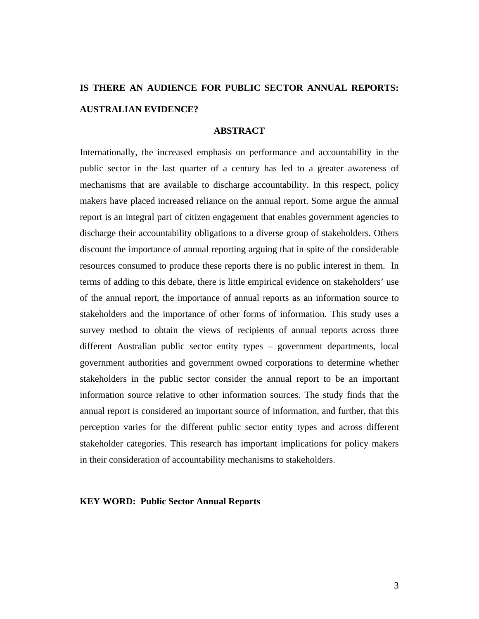# **IS THERE AN AUDIENCE FOR PUBLIC SECTOR ANNUAL REPORTS: AUSTRALIAN EVIDENCE?**

### **ABSTRACT**

Internationally, the increased emphasis on performance and accountability in the public sector in the last quarter of a century has led to a greater awareness of mechanisms that are available to discharge accountability. In this respect, policy makers have placed increased reliance on the annual report. Some argue the annual report is an integral part of citizen engagement that enables government agencies to discharge their accountability obligations to a diverse group of stakeholders. Others discount the importance of annual reporting arguing that in spite of the considerable resources consumed to produce these reports there is no public interest in them. In terms of adding to this debate, there is little empirical evidence on stakeholders' use of the annual report, the importance of annual reports as an information source to stakeholders and the importance of other forms of information. This study uses a survey method to obtain the views of recipients of annual reports across three different Australian public sector entity types – government departments, local government authorities and government owned corporations to determine whether stakeholders in the public sector consider the annual report to be an important information source relative to other information sources. The study finds that the annual report is considered an important source of information, and further, that this perception varies for the different public sector entity types and across different stakeholder categories. This research has important implications for policy makers in their consideration of accountability mechanisms to stakeholders.

#### **KEY WORD: Public Sector Annual Reports**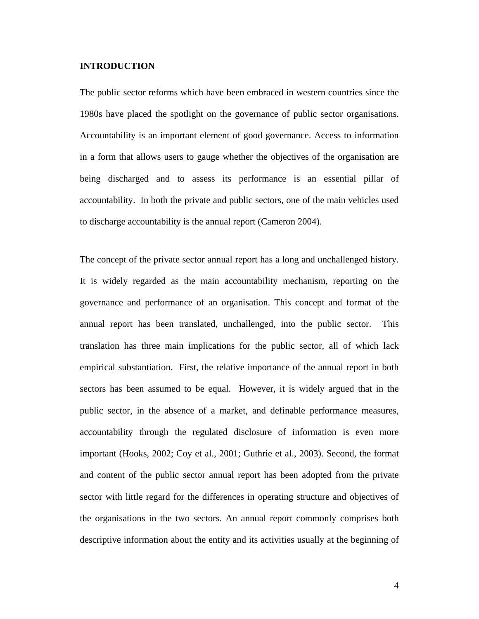### **INTRODUCTION**

The public sector reforms which have been embraced in western countries since the 1980s have placed the spotlight on the governance of public sector organisations. Accountability is an important element of good governance. Access to information in a form that allows users to gauge whether the objectives of the organisation are being discharged and to assess its performance is an essential pillar of accountability. In both the private and public sectors, one of the main vehicles used to discharge accountability is the annual report (Cameron 2004).

The concept of the private sector annual report has a long and unchallenged history. It is widely regarded as the main accountability mechanism, reporting on the governance and performance of an organisation. This concept and format of the annual report has been translated, unchallenged, into the public sector. This translation has three main implications for the public sector, all of which lack empirical substantiation. First, the relative importance of the annual report in both sectors has been assumed to be equal. However, it is widely argued that in the public sector, in the absence of a market, and definable performance measures, accountability through the regulated disclosure of information is even more important (Hooks, 2002; Coy et al., 2001; Guthrie et al., 2003). Second, the format and content of the public sector annual report has been adopted from the private sector with little regard for the differences in operating structure and objectives of the organisations in the two sectors. An annual report commonly comprises both descriptive information about the entity and its activities usually at the beginning of

4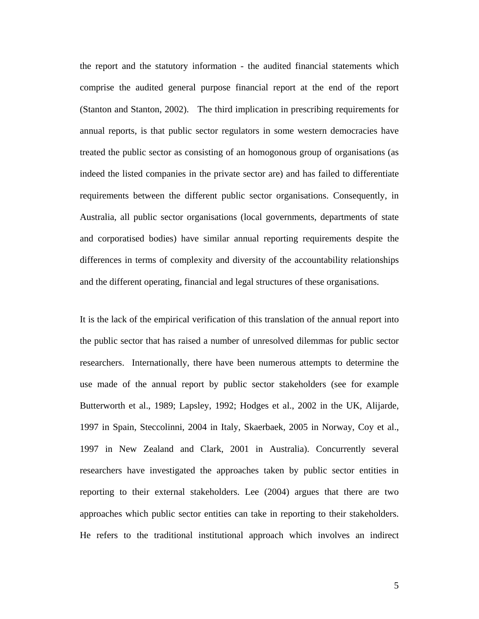the report and the statutory information - the audited financial statements which comprise the audited general purpose financial report at the end of the report (Stanton and Stanton, 2002). The third implication in prescribing requirements for annual reports, is that public sector regulators in some western democracies have treated the public sector as consisting of an homogonous group of organisations (as indeed the listed companies in the private sector are) and has failed to differentiate requirements between the different public sector organisations. Consequently, in Australia, all public sector organisations (local governments, departments of state and corporatised bodies) have similar annual reporting requirements despite the differences in terms of complexity and diversity of the accountability relationships and the different operating, financial and legal structures of these organisations.

It is the lack of the empirical verification of this translation of the annual report into the public sector that has raised a number of unresolved dilemmas for public sector researchers. Internationally, there have been numerous attempts to determine the use made of the annual report by public sector stakeholders (see for example Butterworth et al., 1989; Lapsley, 1992; Hodges et al., 2002 in the UK, Alijarde, 1997 in Spain, Steccolinni, 2004 in Italy, Skaerbaek, 2005 in Norway, Coy et al., 1997 in New Zealand and Clark, 2001 in Australia). Concurrently several researchers have investigated the approaches taken by public sector entities in reporting to their external stakeholders. Lee (2004) argues that there are two approaches which public sector entities can take in reporting to their stakeholders. He refers to the traditional institutional approach which involves an indirect

5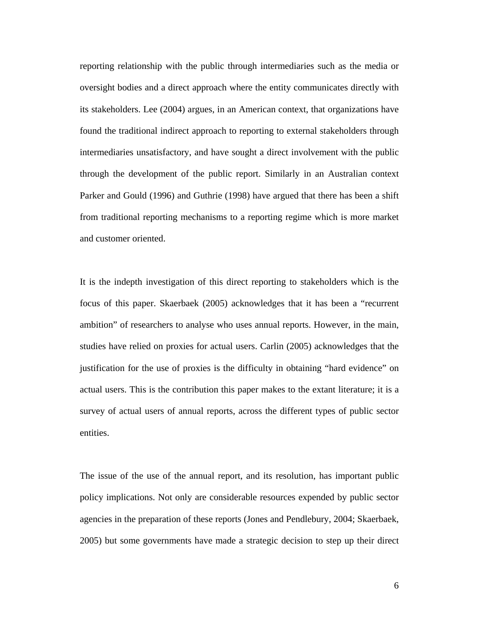reporting relationship with the public through intermediaries such as the media or oversight bodies and a direct approach where the entity communicates directly with its stakeholders. Lee (2004) argues, in an American context, that organizations have found the traditional indirect approach to reporting to external stakeholders through intermediaries unsatisfactory, and have sought a direct involvement with the public through the development of the public report. Similarly in an Australian context Parker and Gould (1996) and Guthrie (1998) have argued that there has been a shift from traditional reporting mechanisms to a reporting regime which is more market and customer oriented.

It is the indepth investigation of this direct reporting to stakeholders which is the focus of this paper. Skaerbaek (2005) acknowledges that it has been a "recurrent ambition" of researchers to analyse who uses annual reports. However, in the main, studies have relied on proxies for actual users. Carlin (2005) acknowledges that the justification for the use of proxies is the difficulty in obtaining "hard evidence" on actual users. This is the contribution this paper makes to the extant literature; it is a survey of actual users of annual reports, across the different types of public sector entities.

The issue of the use of the annual report, and its resolution, has important public policy implications. Not only are considerable resources expended by public sector agencies in the preparation of these reports (Jones and Pendlebury, 2004; Skaerbaek, 2005) but some governments have made a strategic decision to step up their direct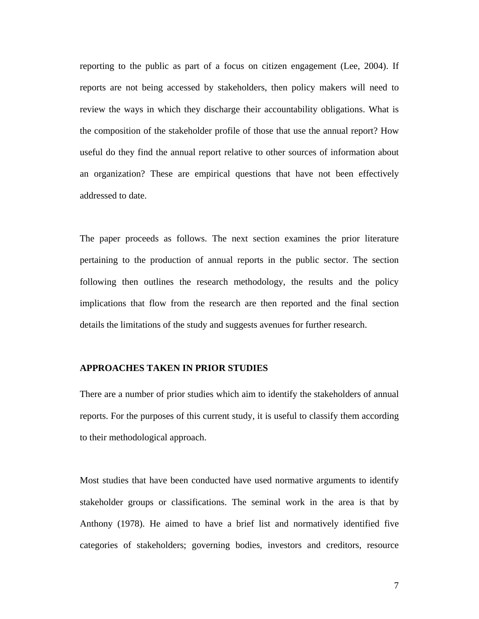reporting to the public as part of a focus on citizen engagement (Lee, 2004). If reports are not being accessed by stakeholders, then policy makers will need to review the ways in which they discharge their accountability obligations. What is the composition of the stakeholder profile of those that use the annual report? How useful do they find the annual report relative to other sources of information about an organization? These are empirical questions that have not been effectively addressed to date.

The paper proceeds as follows. The next section examines the prior literature pertaining to the production of annual reports in the public sector. The section following then outlines the research methodology, the results and the policy implications that flow from the research are then reported and the final section details the limitations of the study and suggests avenues for further research.

### **APPROACHES TAKEN IN PRIOR STUDIES**

There are a number of prior studies which aim to identify the stakeholders of annual reports. For the purposes of this current study, it is useful to classify them according to their methodological approach.

Most studies that have been conducted have used normative arguments to identify stakeholder groups or classifications. The seminal work in the area is that by Anthony (1978). He aimed to have a brief list and normatively identified five categories of stakeholders; governing bodies, investors and creditors, resource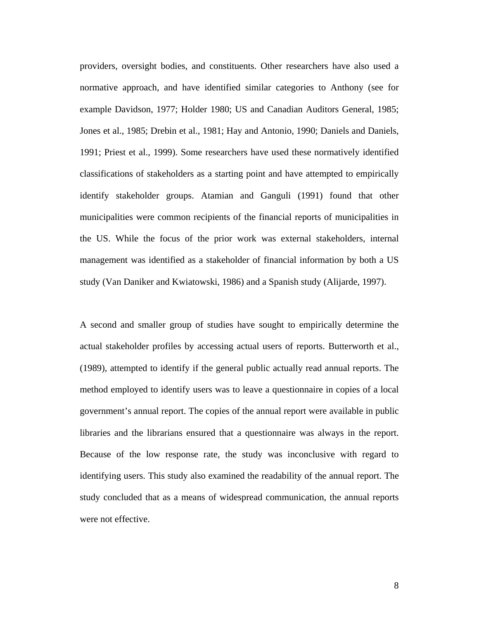providers, oversight bodies, and constituents. Other researchers have also used a normative approach, and have identified similar categories to Anthony (see for example Davidson, 1977; Holder 1980; US and Canadian Auditors General, 1985; Jones et al., 1985; Drebin et al., 1981; Hay and Antonio, 1990; Daniels and Daniels, 1991; Priest et al., 1999). Some researchers have used these normatively identified classifications of stakeholders as a starting point and have attempted to empirically identify stakeholder groups. Atamian and Ganguli (1991) found that other municipalities were common recipients of the financial reports of municipalities in the US. While the focus of the prior work was external stakeholders, internal management was identified as a stakeholder of financial information by both a US study (Van Daniker and Kwiatowski, 1986) and a Spanish study (Alijarde, 1997).

A second and smaller group of studies have sought to empirically determine the actual stakeholder profiles by accessing actual users of reports. Butterworth et al., (1989), attempted to identify if the general public actually read annual reports. The method employed to identify users was to leave a questionnaire in copies of a local government's annual report. The copies of the annual report were available in public libraries and the librarians ensured that a questionnaire was always in the report. Because of the low response rate, the study was inconclusive with regard to identifying users. This study also examined the readability of the annual report. The study concluded that as a means of widespread communication, the annual reports were not effective.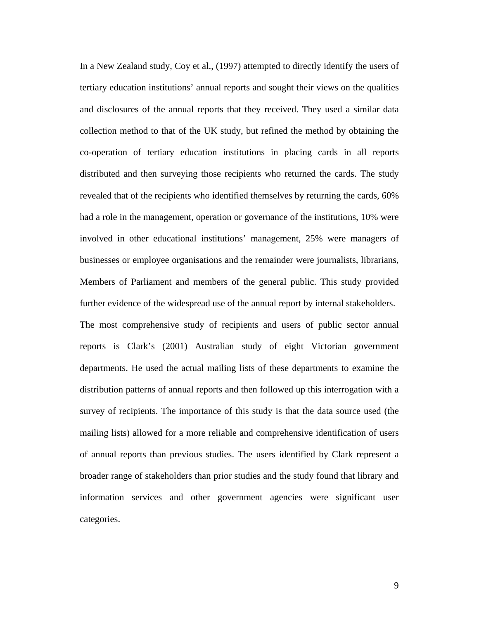In a New Zealand study, Coy et al., (1997) attempted to directly identify the users of tertiary education institutions' annual reports and sought their views on the qualities and disclosures of the annual reports that they received. They used a similar data collection method to that of the UK study, but refined the method by obtaining the co-operation of tertiary education institutions in placing cards in all reports distributed and then surveying those recipients who returned the cards. The study revealed that of the recipients who identified themselves by returning the cards, 60% had a role in the management, operation or governance of the institutions, 10% were involved in other educational institutions' management, 25% were managers of businesses or employee organisations and the remainder were journalists, librarians, Members of Parliament and members of the general public. This study provided further evidence of the widespread use of the annual report by internal stakeholders. The most comprehensive study of recipients and users of public sector annual reports is Clark's (2001) Australian study of eight Victorian government departments. He used the actual mailing lists of these departments to examine the distribution patterns of annual reports and then followed up this interrogation with a survey of recipients. The importance of this study is that the data source used (the mailing lists) allowed for a more reliable and comprehensive identification of users of annual reports than previous studies. The users identified by Clark represent a broader range of stakeholders than prior studies and the study found that library and information services and other government agencies were significant user categories.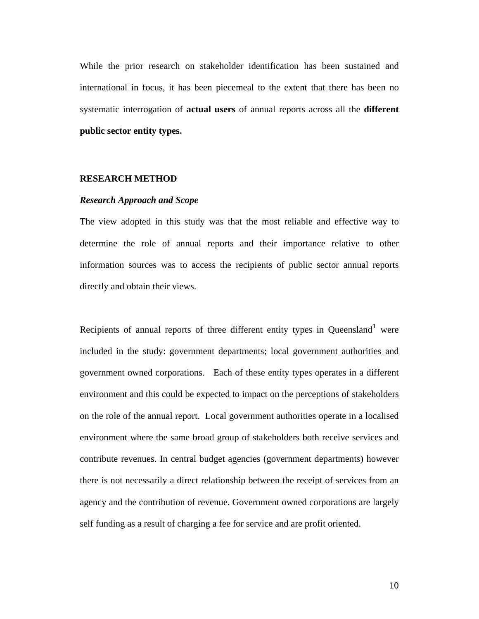While the prior research on stakeholder identification has been sustained and international in focus, it has been piecemeal to the extent that there has been no systematic interrogation of **actual users** of annual reports across all the **different public sector entity types.** 

### **RESEARCH METHOD**

#### *Research Approach and Scope*

The view adopted in this study was that the most reliable and effective way to determine the role of annual reports and their importance relative to other information sources was to access the recipients of public sector annual reports directly and obtain their views.

Recipients of annual reports of three different entity types in Queensland<sup>[1](#page-27-0)</sup> were included in the study: government departments; local government authorities and government owned corporations. Each of these entity types operates in a different environment and this could be expected to impact on the perceptions of stakeholders on the role of the annual report. Local government authorities operate in a localised environment where the same broad group of stakeholders both receive services and contribute revenues. In central budget agencies (government departments) however there is not necessarily a direct relationship between the receipt of services from an agency and the contribution of revenue. Government owned corporations are largely self funding as a result of charging a fee for service and are profit oriented.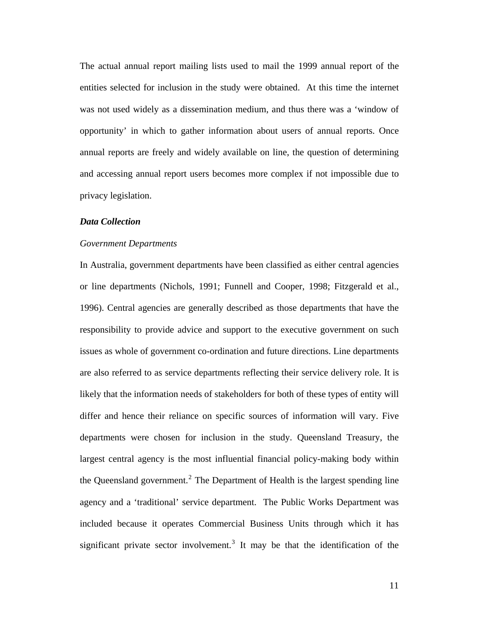The actual annual report mailing lists used to mail the 1999 annual report of the entities selected for inclusion in the study were obtained. At this time the internet was not used widely as a dissemination medium, and thus there was a 'window of opportunity' in which to gather information about users of annual reports. Once annual reports are freely and widely available on line, the question of determining and accessing annual report users becomes more complex if not impossible due to privacy legislation.

### *Data Collection*

#### *Government Departments*

In Australia, government departments have been classified as either central agencies or line departments (Nichols, 1991; Funnell and Cooper, 1998; Fitzgerald et al., 1996). Central agencies are generally described as those departments that have the responsibility to provide advice and support to the executive government on such issues as whole of government co-ordination and future directions. Line departments are also referred to as service departments reflecting their service delivery role. It is likely that the information needs of stakeholders for both of these types of entity will differ and hence their reliance on specific sources of information will vary. Five departments were chosen for inclusion in the study. Queensland Treasury, the largest central agency is the most influential financial policy-making body within the Queensland government.<sup>[2](#page-27-1)</sup> The Department of Health is the largest spending line agency and a 'traditional' service department. The Public Works Department was included because it operates Commercial Business Units through which it has significant private sector involvement.<sup>[3](#page-27-1)</sup> It may be that the identification of the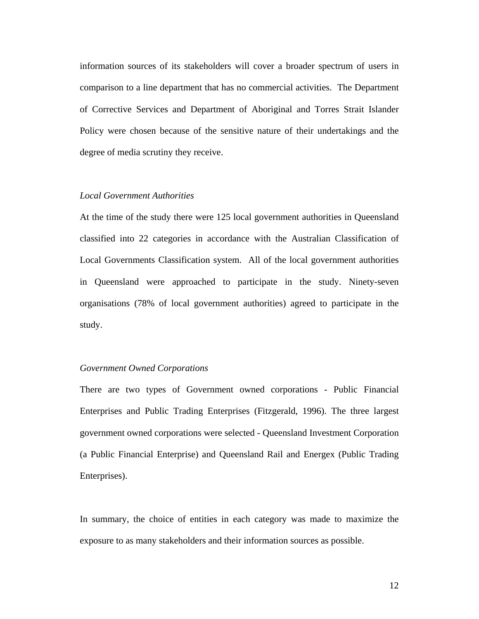information sources of its stakeholders will cover a broader spectrum of users in comparison to a line department that has no commercial activities. The Department of Corrective Services and Department of Aboriginal and Torres Strait Islander Policy were chosen because of the sensitive nature of their undertakings and the degree of media scrutiny they receive.

### *Local Government Authorities*

At the time of the study there were 125 local government authorities in Queensland classified into 22 categories in accordance with the Australian Classification of Local Governments Classification system. All of the local government authorities in Queensland were approached to participate in the study. Ninety-seven organisations (78% of local government authorities) agreed to participate in the study.

### *Government Owned Corporations*

There are two types of Government owned corporations - Public Financial Enterprises and Public Trading Enterprises (Fitzgerald, 1996). The three largest government owned corporations were selected - Queensland Investment Corporation (a Public Financial Enterprise) and Queensland Rail and Energex (Public Trading Enterprises).

In summary, the choice of entities in each category was made to maximize the exposure to as many stakeholders and their information sources as possible.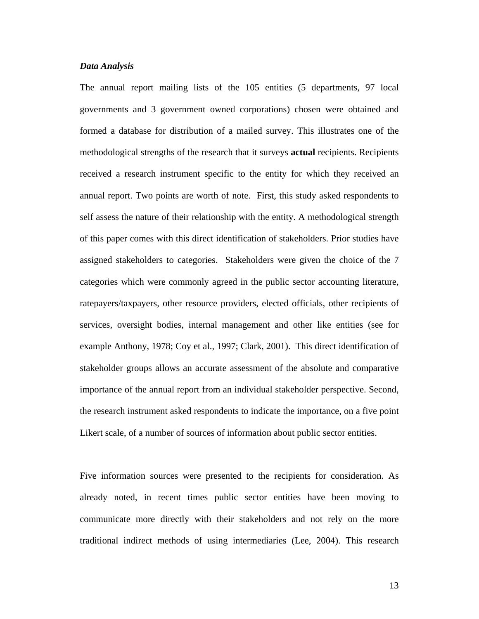#### *Data Analysis*

The annual report mailing lists of the 105 entities (5 departments, 97 local governments and 3 government owned corporations) chosen were obtained and formed a database for distribution of a mailed survey. This illustrates one of the methodological strengths of the research that it surveys **actual** recipients. Recipients received a research instrument specific to the entity for which they received an annual report. Two points are worth of note. First, this study asked respondents to self assess the nature of their relationship with the entity. A methodological strength of this paper comes with this direct identification of stakeholders. Prior studies have assigned stakeholders to categories. Stakeholders were given the choice of the 7 categories which were commonly agreed in the public sector accounting literature, ratepayers/taxpayers, other resource providers, elected officials, other recipients of services, oversight bodies, internal management and other like entities (see for example Anthony, 1978; Coy et al., 1997; Clark, 2001). This direct identification of stakeholder groups allows an accurate assessment of the absolute and comparative importance of the annual report from an individual stakeholder perspective. Second, the research instrument asked respondents to indicate the importance, on a five point Likert scale, of a number of sources of information about public sector entities.

Five information sources were presented to the recipients for consideration. As already noted, in recent times public sector entities have been moving to communicate more directly with their stakeholders and not rely on the more traditional indirect methods of using intermediaries (Lee, 2004). This research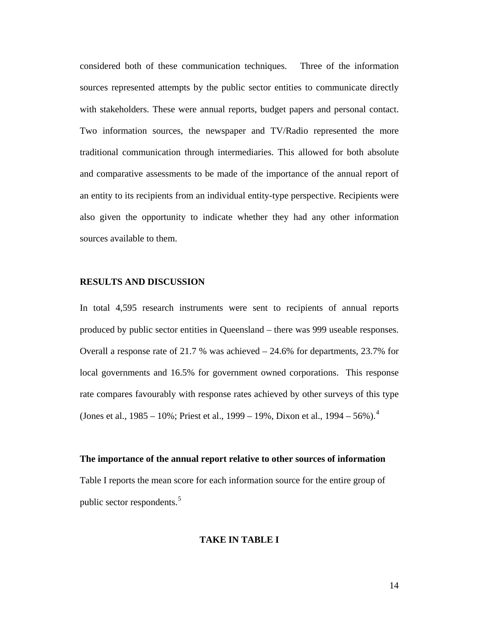considered both of these communication techniques. Three of the information sources represented attempts by the public sector entities to communicate directly with stakeholders. These were annual reports, budget papers and personal contact. Two information sources, the newspaper and TV/Radio represented the more traditional communication through intermediaries. This allowed for both absolute and comparative assessments to be made of the importance of the annual report of an entity to its recipients from an individual entity-type perspective. Recipients were also given the opportunity to indicate whether they had any other information sources available to them.

### **RESULTS AND DISCUSSION**

In total 4,595 research instruments were sent to recipients of annual reports produced by public sector entities in Queensland – there was 999 useable responses. Overall a response rate of 21.7 % was achieved  $-24.6\%$  for departments, 23.7% for local governments and 16.5% for government owned corporations. This response rate compares favourably with response rates achieved by other surveys of this type (Jones et al.,  $1985 - 10\%$ ; Priest et al.,  $1999 - 19\%$ , Dixon et al.,  $1994 - 56\%$  $1994 - 56\%$  $1994 - 56\%$ ).<sup>4</sup>

### **The importance of the annual report relative to other sources of information**

Table I reports the mean score for each information source for the entire group of public sector respondents.[5](#page-27-1)

### **TAKE IN TABLE I**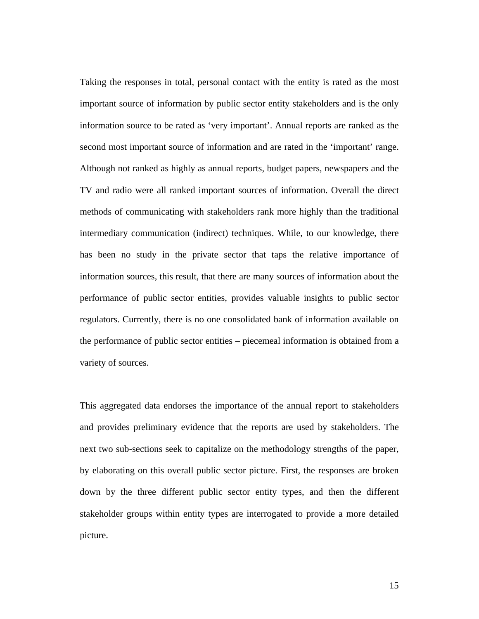Taking the responses in total, personal contact with the entity is rated as the most important source of information by public sector entity stakeholders and is the only information source to be rated as 'very important'. Annual reports are ranked as the second most important source of information and are rated in the 'important' range. Although not ranked as highly as annual reports, budget papers, newspapers and the TV and radio were all ranked important sources of information. Overall the direct methods of communicating with stakeholders rank more highly than the traditional intermediary communication (indirect) techniques. While, to our knowledge, there has been no study in the private sector that taps the relative importance of information sources, this result, that there are many sources of information about the performance of public sector entities, provides valuable insights to public sector regulators. Currently, there is no one consolidated bank of information available on the performance of public sector entities – piecemeal information is obtained from a variety of sources.

This aggregated data endorses the importance of the annual report to stakeholders and provides preliminary evidence that the reports are used by stakeholders. The next two sub-sections seek to capitalize on the methodology strengths of the paper, by elaborating on this overall public sector picture. First, the responses are broken down by the three different public sector entity types, and then the different stakeholder groups within entity types are interrogated to provide a more detailed picture.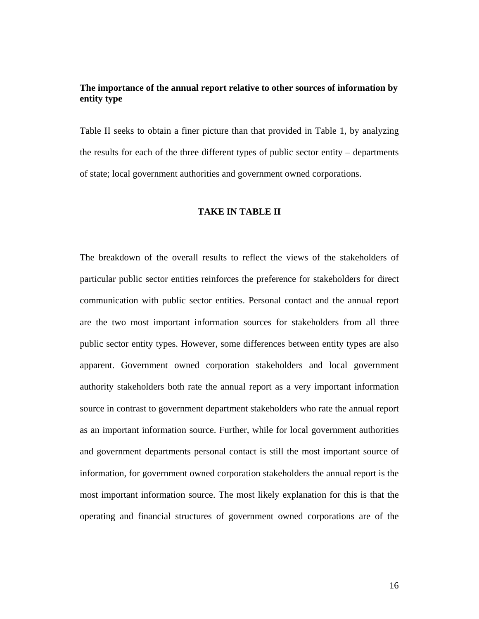### **The importance of the annual report relative to other sources of information by entity type**

Table II seeks to obtain a finer picture than that provided in Table 1, by analyzing the results for each of the three different types of public sector entity – departments of state; local government authorities and government owned corporations.

### **TAKE IN TABLE II**

The breakdown of the overall results to reflect the views of the stakeholders of particular public sector entities reinforces the preference for stakeholders for direct communication with public sector entities. Personal contact and the annual report are the two most important information sources for stakeholders from all three public sector entity types. However, some differences between entity types are also apparent. Government owned corporation stakeholders and local government authority stakeholders both rate the annual report as a very important information source in contrast to government department stakeholders who rate the annual report as an important information source. Further, while for local government authorities and government departments personal contact is still the most important source of information, for government owned corporation stakeholders the annual report is the most important information source. The most likely explanation for this is that the operating and financial structures of government owned corporations are of the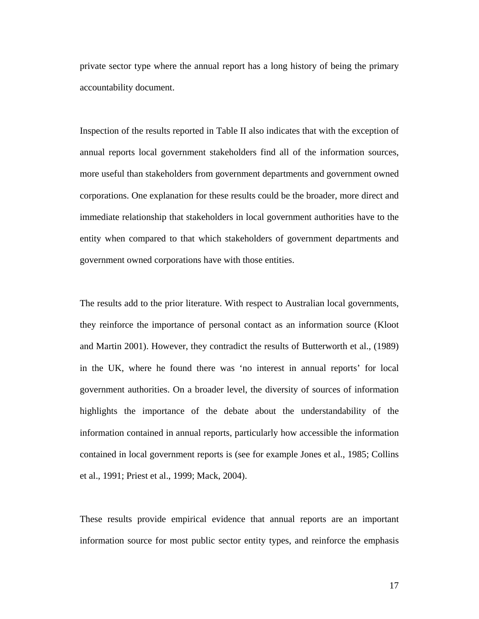private sector type where the annual report has a long history of being the primary accountability document.

Inspection of the results reported in Table II also indicates that with the exception of annual reports local government stakeholders find all of the information sources, more useful than stakeholders from government departments and government owned corporations. One explanation for these results could be the broader, more direct and immediate relationship that stakeholders in local government authorities have to the entity when compared to that which stakeholders of government departments and government owned corporations have with those entities.

The results add to the prior literature. With respect to Australian local governments, they reinforce the importance of personal contact as an information source (Kloot and Martin 2001). However, they contradict the results of Butterworth et al., (1989) in the UK, where he found there was 'no interest in annual reports' for local government authorities. On a broader level, the diversity of sources of information highlights the importance of the debate about the understandability of the information contained in annual reports, particularly how accessible the information contained in local government reports is (see for example Jones et al., 1985; Collins et al., 1991; Priest et al., 1999; Mack, 2004).

These results provide empirical evidence that annual reports are an important information source for most public sector entity types, and reinforce the emphasis

17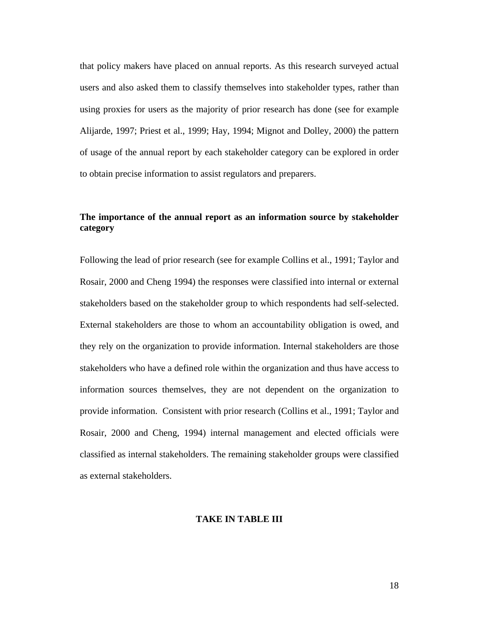that policy makers have placed on annual reports. As this research surveyed actual users and also asked them to classify themselves into stakeholder types, rather than using proxies for users as the majority of prior research has done (see for example Alijarde, 1997; Priest et al., 1999; Hay, 1994; Mignot and Dolley, 2000) the pattern of usage of the annual report by each stakeholder category can be explored in order to obtain precise information to assist regulators and preparers.

### **The importance of the annual report as an information source by stakeholder category**

Following the lead of prior research (see for example Collins et al., 1991; Taylor and Rosair, 2000 and Cheng 1994) the responses were classified into internal or external stakeholders based on the stakeholder group to which respondents had self-selected. External stakeholders are those to whom an accountability obligation is owed, and they rely on the organization to provide information. Internal stakeholders are those stakeholders who have a defined role within the organization and thus have access to information sources themselves, they are not dependent on the organization to provide information. Consistent with prior research (Collins et al., 1991; Taylor and Rosair, 2000 and Cheng, 1994) internal management and elected officials were classified as internal stakeholders. The remaining stakeholder groups were classified as external stakeholders.

### **TAKE IN TABLE III**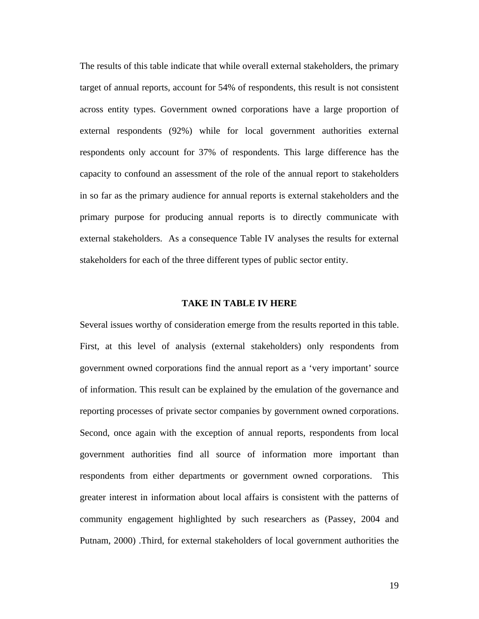The results of this table indicate that while overall external stakeholders, the primary target of annual reports, account for 54% of respondents, this result is not consistent across entity types. Government owned corporations have a large proportion of external respondents (92%) while for local government authorities external respondents only account for 37% of respondents. This large difference has the capacity to confound an assessment of the role of the annual report to stakeholders in so far as the primary audience for annual reports is external stakeholders and the primary purpose for producing annual reports is to directly communicate with external stakeholders. As a consequence Table IV analyses the results for external stakeholders for each of the three different types of public sector entity.

### **TAKE IN TABLE IV HERE**

Several issues worthy of consideration emerge from the results reported in this table. First, at this level of analysis (external stakeholders) only respondents from government owned corporations find the annual report as a 'very important' source of information. This result can be explained by the emulation of the governance and reporting processes of private sector companies by government owned corporations. Second, once again with the exception of annual reports, respondents from local government authorities find all source of information more important than respondents from either departments or government owned corporations. This greater interest in information about local affairs is consistent with the patterns of community engagement highlighted by such researchers as (Passey, 2004 and Putnam, 2000) .Third, for external stakeholders of local government authorities the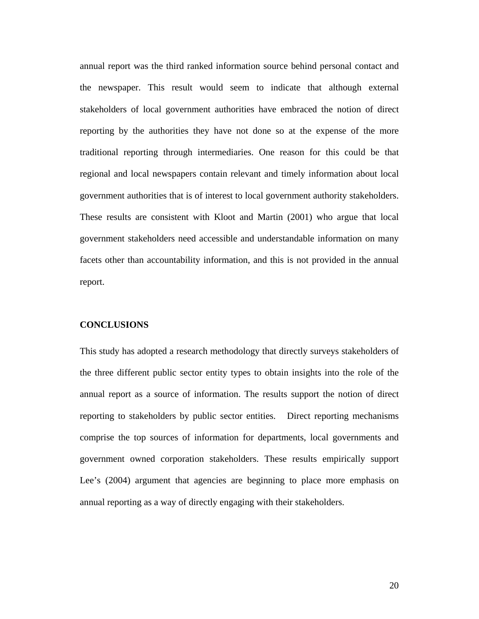annual report was the third ranked information source behind personal contact and the newspaper. This result would seem to indicate that although external stakeholders of local government authorities have embraced the notion of direct reporting by the authorities they have not done so at the expense of the more traditional reporting through intermediaries. One reason for this could be that regional and local newspapers contain relevant and timely information about local government authorities that is of interest to local government authority stakeholders. These results are consistent with Kloot and Martin (2001) who argue that local government stakeholders need accessible and understandable information on many facets other than accountability information, and this is not provided in the annual report.

#### **CONCLUSIONS**

This study has adopted a research methodology that directly surveys stakeholders of the three different public sector entity types to obtain insights into the role of the annual report as a source of information. The results support the notion of direct reporting to stakeholders by public sector entities. Direct reporting mechanisms comprise the top sources of information for departments, local governments and government owned corporation stakeholders. These results empirically support Lee's (2004) argument that agencies are beginning to place more emphasis on annual reporting as a way of directly engaging with their stakeholders.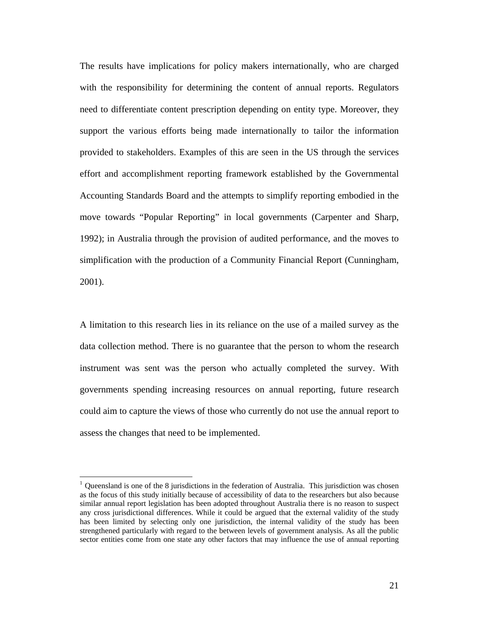The results have implications for policy makers internationally, who are charged with the responsibility for determining the content of annual reports. Regulators need to differentiate content prescription depending on entity type. Moreover, they support the various efforts being made internationally to tailor the information provided to stakeholders. Examples of this are seen in the US through the services effort and accomplishment reporting framework established by the Governmental Accounting Standards Board and the attempts to simplify reporting embodied in the move towards "Popular Reporting" in local governments (Carpenter and Sharp, 1992); in Australia through the provision of audited performance, and the moves to simplification with the production of a Community Financial Report (Cunningham, 2001).

A limitation to this research lies in its reliance on the use of a mailed survey as the data collection method. There is no guarantee that the person to whom the research instrument was sent was the person who actually completed the survey. With governments spending increasing resources on annual reporting, future research could aim to capture the views of those who currently do not use the annual report to assess the changes that need to be implemented.

 $\overline{a}$ 

Queensland is one of the 8 jurisdictions in the federation of Australia. This jurisdiction was chosen as the focus of this study initially because of accessibility of data to the researchers but also because similar annual report legislation has been adopted throughout Australia there is no reason to suspect any cross jurisdictional differences. While it could be argued that the external validity of the study has been limited by selecting only one jurisdiction, the internal validity of the study has been strengthened particularly with regard to the between levels of government analysis. As all the public sector entities come from one state any other factors that may influence the use of annual reporting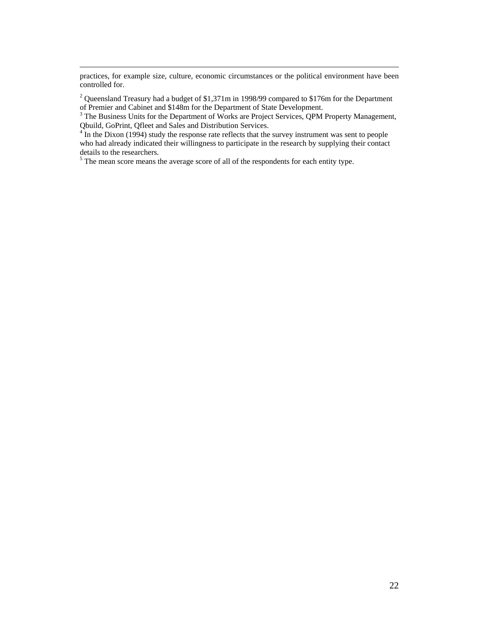practices, for example size, culture, economic circumstances or the political environment have been controlled for.

<sup>2</sup> Queensland Treasury had a budget of \$1,371m in 1998/99 compared to \$176m for the Department of Premier and Cabinet and \$148m for the Department of State Development.

 $3$  The Business Units for the Department of Works are Project Services, QPM Property Management, Qbuild, GoPrint, Qfleet and Sales and Distribution Services.

 $4\overline{I}$  In the Dixon (1994) study the response rate reflects that the survey instrument was sent to people who had already indicated their willingness to participate in the research by supplying their contact details to the researchers.

 $<sup>5</sup>$  The mean score means the average score of all of the respondents for each entity type.</sup>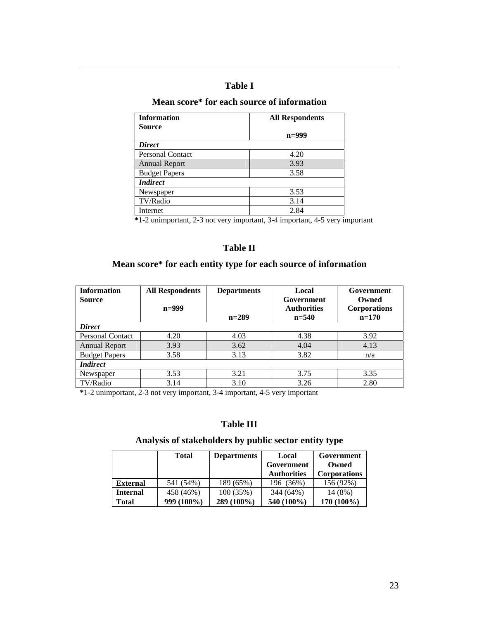### **Table I**

 $\overline{a}$ 

# **Mean score\* for each source of information**

| <b>Information</b>      | <b>All Respondents</b> |  |
|-------------------------|------------------------|--|
| <b>Source</b>           |                        |  |
|                         | $n=999$                |  |
| <b>Direct</b>           |                        |  |
| <b>Personal Contact</b> | 4.20                   |  |
| <b>Annual Report</b>    | 3.93                   |  |
| <b>Budget Papers</b>    | 3.58                   |  |
| <b>Indirect</b>         |                        |  |
| Newspaper               | 3.53                   |  |
| TV/Radio                | 3.14                   |  |
| Internet                | 2.84                   |  |

 **\***1-2 unimportant, 2-3 not very important, 3-4 important, 4-5 very important

### **Table II**

# **Mean score\* for each entity type for each source of information**

| <b>Information</b>      | <b>All Respondents</b> | <b>Departments</b> | Local              | Government          |  |
|-------------------------|------------------------|--------------------|--------------------|---------------------|--|
| <b>Source</b>           |                        |                    | Government         | Owned               |  |
|                         | $n=999$                |                    | <b>Authorities</b> | <b>Corporations</b> |  |
|                         |                        | $n=289$            | $n = 540$          | $n=170$             |  |
| <b>Direct</b>           |                        |                    |                    |                     |  |
| <b>Personal Contact</b> | 4.20                   | 4.03               | 4.38               | 3.92                |  |
| <b>Annual Report</b>    | 3.93                   | 3.62               | 4.04               | 4.13                |  |
| <b>Budget Papers</b>    | 3.58                   | 3.13               | 3.82               | n/a                 |  |
| <i>Indirect</i>         |                        |                    |                    |                     |  |
| Newspaper               | 3.53                   | 3.21               | 3.75               | 3.35                |  |
| TV/Radio                | 3.14                   | 3.10               | 3.26               | 2.80                |  |

**\***1-2 unimportant, 2-3 not very important, 3-4 important, 4-5 very important

### **Table III**

# **Analysis of stakeholders by public sector entity type**

|                 | <b>Total</b> | <b>Departments</b> | Local              | Government          |
|-----------------|--------------|--------------------|--------------------|---------------------|
|                 |              |                    | Government         | Owned               |
|                 |              |                    | <b>Authorities</b> | <b>Corporations</b> |
| <b>External</b> | 541 (54%)    | 189 (65%)          | 196 (36%)          | 156 (92%)           |
| <b>Internal</b> | 458 (46%)    | 100 (35%)          | 344 (64%)          | 14 (8%)             |
| Total           | 999 (100%)   | $289(100\%)$       | 540 (100%)         | 170 (100%)          |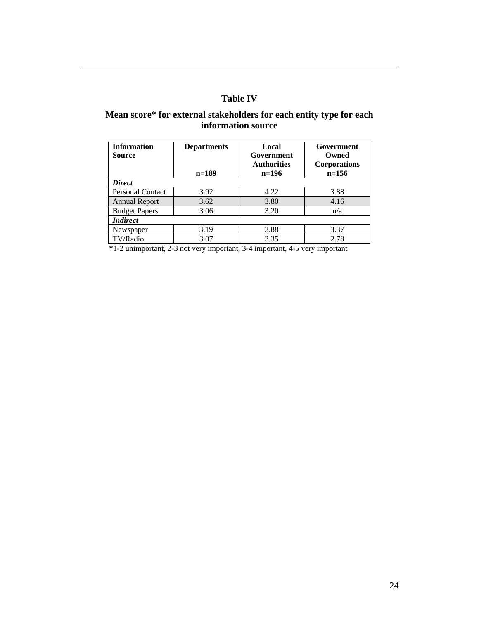# **Table IV**

 $\overline{a}$ 

### **Mean score\* for external stakeholders for each entity type for each information source**

| <b>Information</b><br><b>Source</b> | <b>Departments</b><br>$n=189$ | Local<br>Government<br><b>Authorities</b><br>$n=196$ | Government<br>Owned<br><b>Corporations</b><br>$n=156$ |  |  |  |
|-------------------------------------|-------------------------------|------------------------------------------------------|-------------------------------------------------------|--|--|--|
| <b>Direct</b>                       |                               |                                                      |                                                       |  |  |  |
| <b>Personal Contact</b>             | 3.92                          | 4.22                                                 | 3.88                                                  |  |  |  |
| <b>Annual Report</b>                | 3.62                          | 3.80                                                 | 4.16                                                  |  |  |  |
| <b>Budget Papers</b>                | 3.06                          | 3.20                                                 | n/a                                                   |  |  |  |
| <i>Indirect</i>                     |                               |                                                      |                                                       |  |  |  |
| Newspaper                           | 3.19                          | 3.88                                                 | 3.37                                                  |  |  |  |
| TV/Radio                            | 3.07                          | 3.35                                                 | 2.78                                                  |  |  |  |

 **\***1-2 unimportant, 2-3 not very important, 3-4 important, 4-5 very important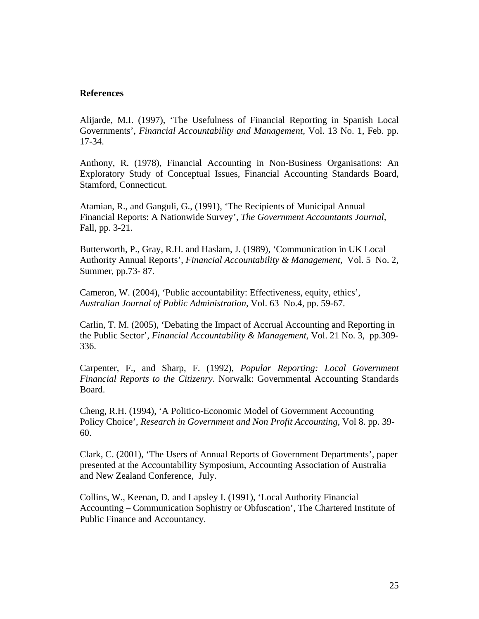### **References**

 $\overline{a}$ 

Alijarde, M.I. (1997), 'The Usefulness of Financial Reporting in Spanish Local Governments', *Financial Accountability and Management,* Vol. 13 No. 1, Feb. pp. 17-34.

Anthony, R. (1978), Financial Accounting in Non-Business Organisations: An Exploratory Study of Conceptual Issues, Financial Accounting Standards Board, Stamford, Connecticut.

Atamian, R., and Ganguli, G., (1991), 'The Recipients of Municipal Annual Financial Reports: A Nationwide Survey', *The Government Accountants Journal,*  Fall, pp. 3-21.

Butterworth, P., Gray, R.H. and Haslam, J. (1989), 'Communication in UK Local Authority Annual Reports', *Financial Accountability & Management*, Vol. 5 No. 2, Summer, pp.73- 87.

Cameron, W. (2004), 'Public accountability: Effectiveness, equity, ethics', *Australian Journal of Public Administration,* Vol. 63 No.4, pp. 59-67.

Carlin, T. M. (2005), 'Debating the Impact of Accrual Accounting and Reporting in the Public Sector', *Financial Accountability & Management,* Vol. 21 No. 3, pp.309- 336.

Carpenter, F., and Sharp, F. (1992), *Popular Reporting: Local Government Financial Reports to the Citizenry*. Norwalk: Governmental Accounting Standards Board.

Cheng, R.H. (1994), 'A Politico-Economic Model of Government Accounting Policy Choice', *Research in Government and Non Profit Accounting,* Vol 8. pp. 39- 60.

Clark, C. (2001), 'The Users of Annual Reports of Government Departments', paper presented at the Accountability Symposium, Accounting Association of Australia and New Zealand Conference, July.

Collins, W., Keenan, D. and Lapsley I. (1991), 'Local Authority Financial Accounting – Communication Sophistry or Obfuscation', The Chartered Institute of Public Finance and Accountancy.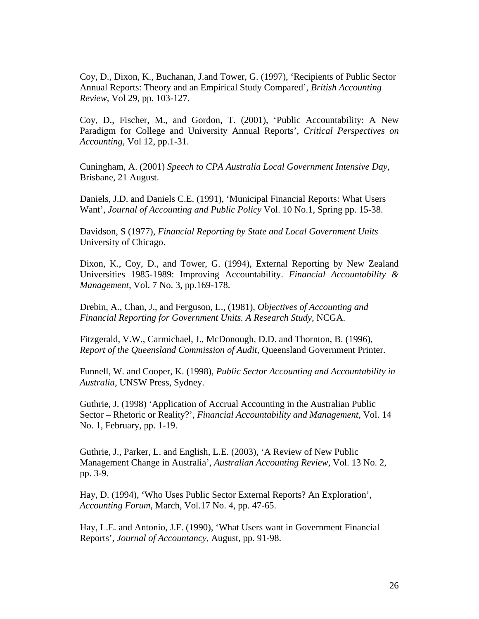Coy, D., Dixon, K., Buchanan, J.and Tower, G. (1997), 'Recipients of Public Sector Annual Reports: Theory and an Empirical Study Compared', *British Accounting Review,* Vol 29, pp. 103-127.

 $\overline{a}$ 

Coy, D., Fischer, M., and Gordon, T. (2001), 'Public Accountability: A New Paradigm for College and University Annual Reports', *Critical Perspectives on Accounting,* Vol 12, pp.1-31.

Cuningham, A. (2001) *Speech to CPA Australia Local Government Intensive Day,* Brisbane, 21 August.

Daniels, J.D. and Daniels C.E. (1991), 'Municipal Financial Reports: What Users Want', *Journal of Accounting and Public Policy* Vol. 10 No.1, Spring pp. 15-38.

Davidson, S (1977), *Financial Reporting by State and Local Government Units* University of Chicago.

Dixon, K., Coy, D., and Tower, G. (1994), External Reporting by New Zealand Universities 1985-1989: Improving Accountability. *Financial Accountability & Management,* Vol. 7 No. 3, pp.169-178.

Drebin, A., Chan, J., and Ferguson, L., (1981), *Objectives of Accounting and Financial Reporting for Government Units. A Research Study,* NCGA.

Fitzgerald, V.W., Carmichael, J., McDonough, D.D. and Thornton, B. (1996), *Report of the Queensland Commission of Audit,* Queensland Government Printer.

Funnell, W. and Cooper, K. (1998), *Public Sector Accounting and Accountability in Australia,* UNSW Press, Sydney.

Guthrie, J. (1998) 'Application of Accrual Accounting in the Australian Public Sector – Rhetoric or Reality?', *Financial Accountability and Management,* Vol. 14 No. 1, February, pp. 1-19.

Guthrie, J., Parker, L. and English, L.E. (2003), 'A Review of New Public Management Change in Australia', *Australian Accounting Review,* Vol. 13 No. 2, pp. 3-9.

Hay, D. (1994), 'Who Uses Public Sector External Reports? An Exploration', *Accounting Forum*, March, Vol.17 No. 4, pp. 47-65.

Hay, L.E. and Antonio, J.F. (1990), 'What Users want in Government Financial Reports', *Journal of Accountancy*, August, pp. 91-98.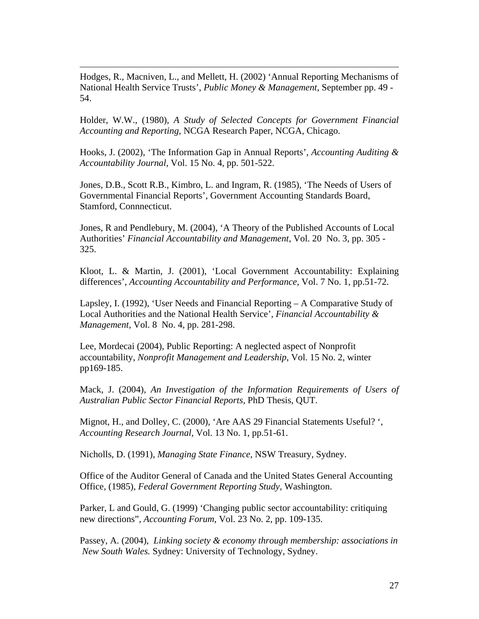Hodges, R., Macniven, L., and Mellett, H. (2002) 'Annual Reporting Mechanisms of National Health Service Trusts', *Public Money & Management*, September pp. 49 - 54.

 $\overline{a}$ 

Holder, W.W., (1980), *A Study of Selected Concepts for Government Financial Accounting and Reporting,* NCGA Research Paper, NCGA, Chicago.

Hooks, J. (2002), 'The Information Gap in Annual Reports', *Accounting Auditing & Accountability Journal,* Vol. 15 No. 4, pp. 501-522.

Jones, D.B., Scott R.B., Kimbro, L. and Ingram, R. (1985), 'The Needs of Users of Governmental Financial Reports', Government Accounting Standards Board, Stamford, Connnecticut.

Jones, R and Pendlebury, M. (2004), 'A Theory of the Published Accounts of Local Authorities' *Financial Accountability and Management,* Vol. 20 No. 3, pp. 305 - 325.

Kloot, L. & Martin, J. (2001), 'Local Government Accountability: Explaining differences', *Accounting Accountability and Performance,* Vol. 7 No. 1, pp.51-72.

Lapsley, I. (1992), 'User Needs and Financial Reporting – A Comparative Study of Local Authorities and the National Health Service', *Financial Accountability & Management,* Vol. 8 No. 4, pp. 281-298.

Lee, Mordecai (2004), Public Reporting: A neglected aspect of Nonprofit accountability, *Nonprofit Management and Leadership*, Vol. 15 No. 2, winter pp169-185.

Mack, J. (2004), *An Investigation of the Information Requirements of Users of Australian Public Sector Financial Reports,* PhD Thesis, QUT.

Mignot, H., and Dolley, C. (2000), 'Are AAS 29 Financial Statements Useful? ', *Accounting Research Journal,* Vol. 13 No. 1, pp.51-61.

Nicholls, D. (1991), *Managing State Finance,* NSW Treasury, Sydney.

Office of the Auditor General of Canada and the United States General Accounting Office, (1985), *Federal Government Reporting Study,* Washington.

Parker, L and Gould, G. (1999) 'Changing public sector accountability: critiquing new directions", *Accounting Forum*, Vol. 23 No. 2, pp. 109-135.

Passey, A. (2004), *Linking society & economy through membership: associations in New South Wales.* Sydney: University of Technology, Sydney.